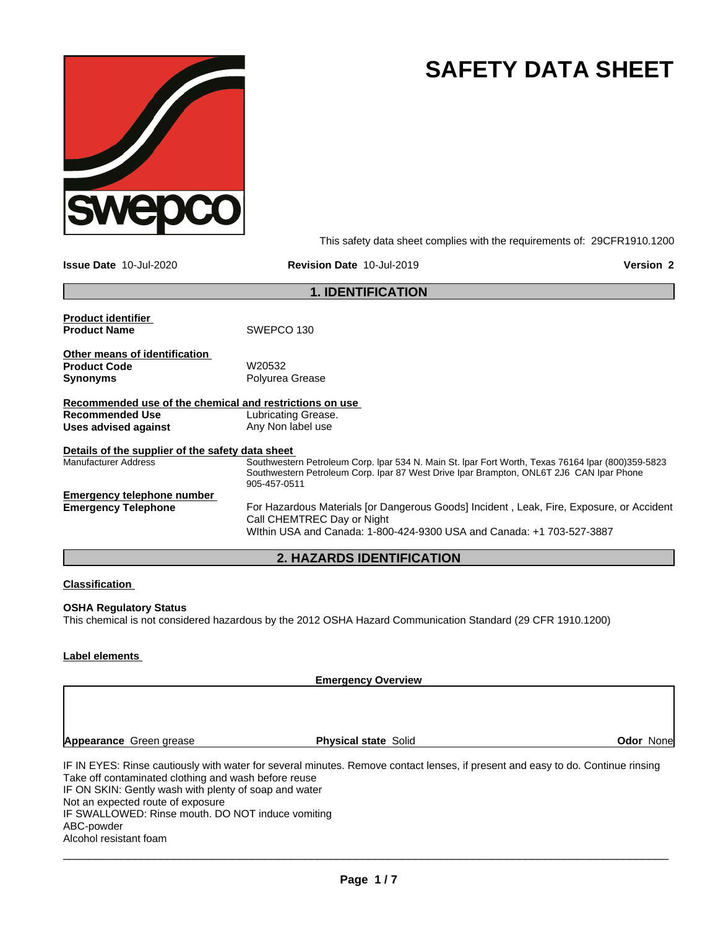

# **SAFETY DATA SHEET**

This safety data sheet complies with the requirements of: 29CFR1910.1200

**Issue Date** 10-Jul-2020 **Revision Date** 10-Jul-2019 **Version 2**

|                                                         | <b>1. IDENTIFICATION</b>                                                                                               |
|---------------------------------------------------------|------------------------------------------------------------------------------------------------------------------------|
| <b>Product identifier</b><br><b>Product Name</b>        | SWEPCO 130                                                                                                             |
|                                                         |                                                                                                                        |
| Other means of identification                           |                                                                                                                        |
| <b>Product Code</b>                                     | W20532                                                                                                                 |
| <b>Synonyms</b>                                         | Polyurea Grease                                                                                                        |
| Recommended use of the chemical and restrictions on use |                                                                                                                        |
| <b>Recommended Use</b>                                  | Lubricating Grease.                                                                                                    |
| Uses advised against                                    | Any Non label use                                                                                                      |
| Details of the supplier of the safety data sheet        |                                                                                                                        |
| <b>Manufacturer Address</b>                             | Southwestern Petroleum Corp. Ipar 534 N. Main St. Ipar Fort Worth, Texas 76164 Ipar (800)359-5823                      |
|                                                         | Southwestern Petroleum Corp. Ipar 87 West Drive Ipar Brampton, ONL6T 2J6 CAN Ipar Phone<br>905-457-0511                |
| <b>Emergency telephone number</b>                       |                                                                                                                        |
| <b>Emergency Telephone</b>                              | For Hazardous Materials [or Dangerous Goods] Incident, Leak, Fire, Exposure, or Accident<br>Call CHEMTREC Day or Night |
|                                                         | Within USA and Canada: 1-800-424-9300 USA and Canada: +1 703-527-3887                                                  |
|                                                         | <b>2. HAZARDS IDENTIFICATION</b>                                                                                       |

### **Classification**

### **OSHA Regulatory Status**

This chemical is not considered hazardous by the 2012 OSHA Hazard Communication Standard (29 CFR 1910.1200)

### **Label elements**

**Emergency Overview**

**Appearance** Green grease **Physical state** Solid

**Odor** None

IF IN EYES: Rinse cautiously with water for several minutes. Remove contact lenses, if present and easy to do. Continue rinsing Take off contaminated clothing and wash before reuse IF ON SKIN: Gently wash with plenty of soap and water Not an expected route of exposure IF SWALLOWED: Rinse mouth. DO NOT induce vomiting ABC-powder Alcohol resistant foam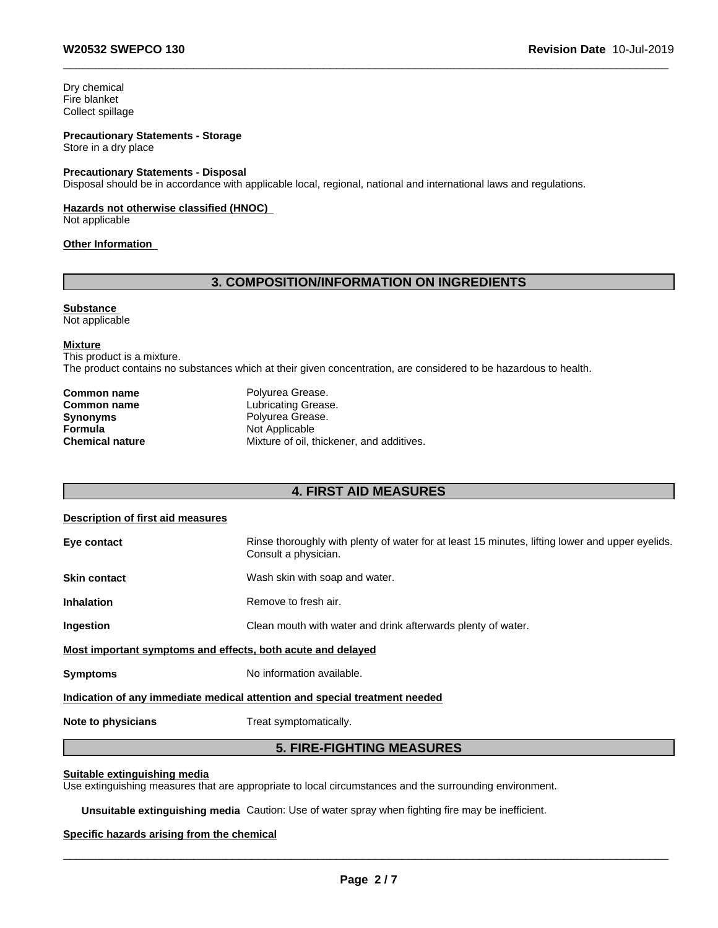Dry chemical Fire blanket Collect spillage

### **Precautionary Statements - Storage**

Store in a dry place

#### **Precautionary Statements - Disposal**

Disposal should be in accordance with applicable local, regional, national and international laws and regulations.

### **Hazards not otherwise classified (HNOC)**

Not applicable

### **Other Information**

### **3. COMPOSITION/INFORMATION ON INGREDIENTS**

### **Substance**

Not applicable

#### **Mixture**

This product is a mixture. The product contains no substances which at their given concentration, are considered to be hazardous to health.

| Common name     | Polyurea Grease.                          |  |
|-----------------|-------------------------------------------|--|
| Common name     | Lubricating Grease.                       |  |
| Synonyms        | Polyurea Grease.                          |  |
| Formula         | Not Applicable                            |  |
| Chemical nature | Mixture of oil, thickener, and additives. |  |

### **4. FIRST AID MEASURES**

### **Description of first aid measures**

| Eye contact                                                 | Rinse thoroughly with plenty of water for at least 15 minutes, lifting lower and upper eyelids.<br>Consult a physician. |
|-------------------------------------------------------------|-------------------------------------------------------------------------------------------------------------------------|
| <b>Skin contact</b>                                         | Wash skin with soap and water.                                                                                          |
| <b>Inhalation</b>                                           | Remove to fresh air.                                                                                                    |
| <b>Ingestion</b>                                            | Clean mouth with water and drink afterwards plenty of water.                                                            |
| Most important symptoms and effects, both acute and delayed |                                                                                                                         |
| <b>Symptoms</b>                                             | No information available.                                                                                               |
|                                                             | Indication of any immediate medical attention and special treatment needed                                              |
| Note to physicians                                          | Treat symptomatically.                                                                                                  |

### **5. FIRE-FIGHTING MEASURES**

### **Suitable extinguishing media**

Use extinguishing measures that are appropriate to local circumstances and the surrounding environment.

**Unsuitable extinguishing media** Caution: Use of water spray when fighting fire may be inefficient.

### **Specific hazards arising from the chemical**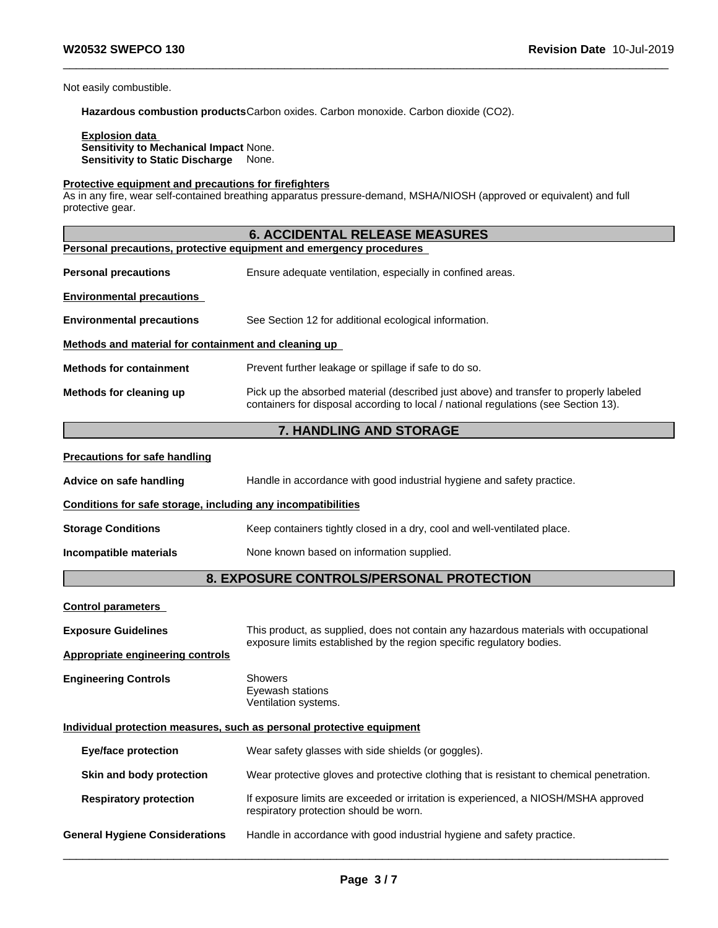Not easily combustible.

**Hazardous combustion products**Carbon oxides. Carbon monoxide. Carbon dioxide (CO2).

#### **Explosion data Sensitivity to Mechanical Impact** None. **Sensitivity to Static Discharge** None.

### **Protective equipment and precautions for firefighters**

As in any fire, wear self-contained breathing apparatus pressure-demand, MSHA/NIOSH (approved or equivalent) and full protective gear.

|                                                              | <b>6. ACCIDENTAL RELEASE MEASURES</b>                                                                                                                                        |  |  |  |  |
|--------------------------------------------------------------|------------------------------------------------------------------------------------------------------------------------------------------------------------------------------|--|--|--|--|
|                                                              | Personal precautions, protective equipment and emergency procedures                                                                                                          |  |  |  |  |
| <b>Personal precautions</b>                                  | Ensure adequate ventilation, especially in confined areas.                                                                                                                   |  |  |  |  |
| <b>Environmental precautions</b>                             |                                                                                                                                                                              |  |  |  |  |
| <b>Environmental precautions</b>                             | See Section 12 for additional ecological information.                                                                                                                        |  |  |  |  |
| Methods and material for containment and cleaning up         |                                                                                                                                                                              |  |  |  |  |
| <b>Methods for containment</b>                               | Prevent further leakage or spillage if safe to do so.                                                                                                                        |  |  |  |  |
| Methods for cleaning up                                      | Pick up the absorbed material (described just above) and transfer to properly labeled<br>containers for disposal according to local / national regulations (see Section 13). |  |  |  |  |
|                                                              | 7. HANDLING AND STORAGE                                                                                                                                                      |  |  |  |  |
| <b>Precautions for safe handling</b>                         |                                                                                                                                                                              |  |  |  |  |
| Advice on safe handling                                      | Handle in accordance with good industrial hygiene and safety practice.                                                                                                       |  |  |  |  |
| Conditions for safe storage, including any incompatibilities |                                                                                                                                                                              |  |  |  |  |
| <b>Storage Conditions</b>                                    | Keep containers tightly closed in a dry, cool and well-ventilated place.                                                                                                     |  |  |  |  |
| Incompatible materials                                       | None known based on information supplied.                                                                                                                                    |  |  |  |  |
|                                                              | 8. EXPOSURE CONTROLS/PERSONAL PROTECTION                                                                                                                                     |  |  |  |  |
| <b>Control parameters</b>                                    |                                                                                                                                                                              |  |  |  |  |
| <b>Exposure Guidelines</b>                                   | This product, as supplied, does not contain any hazardous materials with occupational                                                                                        |  |  |  |  |
| <b>Appropriate engineering controls</b>                      | exposure limits established by the region specific regulatory bodies.                                                                                                        |  |  |  |  |
| <b>Engineering Controls</b>                                  | Showers<br>Eyewash stations<br>Ventilation systems.                                                                                                                          |  |  |  |  |
|                                                              | Individual protection measures, such as personal protective equipment                                                                                                        |  |  |  |  |
| <b>Eye/face protection</b>                                   | Wear safety glasses with side shields (or goggles).                                                                                                                          |  |  |  |  |
| Skin and body protection                                     | Wear protective gloves and protective clothing that is resistant to chemical penetration.                                                                                    |  |  |  |  |
| <b>Respiratory protection</b>                                | If exposure limits are exceeded or irritation is experienced, a NIOSH/MSHA approved<br>respiratory protection should be worn.                                                |  |  |  |  |
| <b>General Hygiene Considerations</b>                        | Handle in accordance with good industrial hygiene and safety practice.                                                                                                       |  |  |  |  |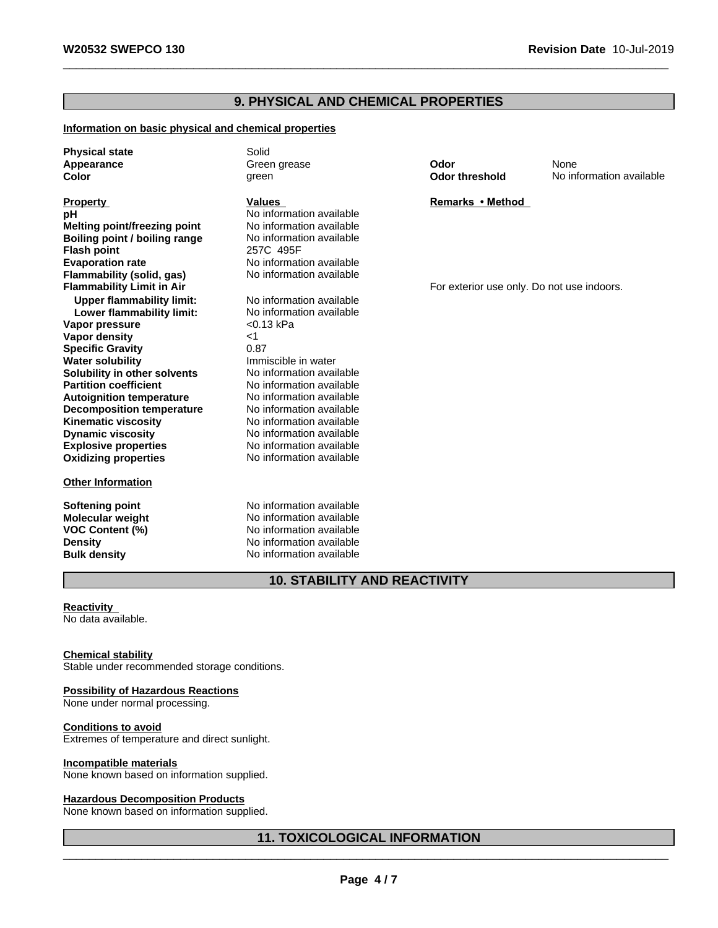### **9. PHYSICAL AND CHEMICAL PROPERTIES**

### **Information on basic physical and chemical properties**

**Physical state** Solid

**Explosive properties** No information available **Oxidizing properties** No information available **pH** No information available<br> **Melting point/freezing point** No information available **Melting point/freezing point Boiling point / boiling range** No information available **Flash point** 257C 495F **Evaporation rate** No information available **Flammability (solid, gas)** No information available<br>**Flammability Limit in Air Upper flammability limit:** No information available<br> **Lower flammability limit:** No information available **Lower flammability limit:** No informand No information and No information and No information and No information and No information and No information and No information and No information and No information and No informa **Vapor pressure Vapor density** <1 **Specific Gravity** 0.87 **Water solubility Water Solubility Immiscible in water**<br> **Solubility in other solvents No information available Solubility in other solvents** No information available<br> **Partition coefficient** No information available **Partition coefficient Autoignition temperature** No information available **Decomposition temperature** No information available<br> **Kinematic viscosity** No information available **Kinematic viscosity**<br> **Communical Dynamic viscosity**<br>
No information available

### **Other Information**

**Dynamic viscosity** No information available

**Softening point** No information available **Molecular weight** No information available<br> **VOC Content (%)** No information available **VOC Content (%)** No information available **Density Density Density No information available Bulk density No information available No information available** 

**Appearance** and **Creen grease Creen grease Odor** None **Color Color Color Color Color Color Color Color Color Color Color Color Color Color Color Color Color Color Color Color Color Color Color Color Color Color Color Color** 

**Property Remarks Property Remarks Method** 

For exterior use only. Do not use indoors.

### **10. STABILITY AND REACTIVITY**

**Reactivity** No data available.

**Chemical stability** Stable under recommended storage conditions.

### **Possibility of Hazardous Reactions**

None under normal processing.

**Conditions to avoid** Extremes of temperature and direct sunlight.

#### **Incompatible materials**

None known based on information supplied.

#### **Hazardous Decomposition Products**

None known based on information supplied.

### **11. TOXICOLOGICAL INFORMATION**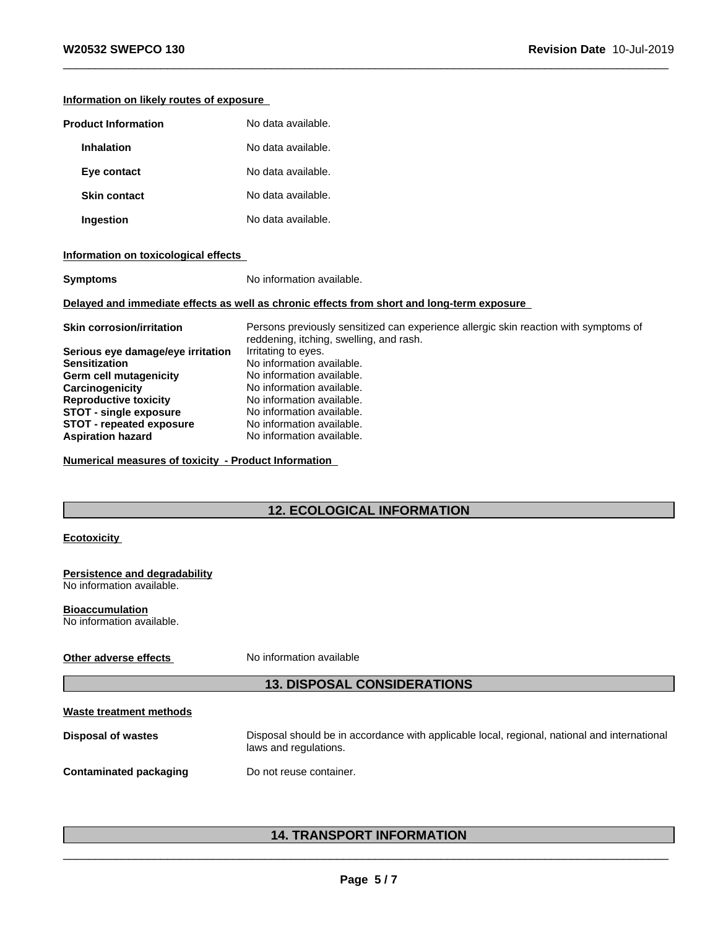| Information on likely routes of exposure                                                                                                                                                                                                                                                                                                                                                         |                                                                                                                                                                                                                                                                     |
|--------------------------------------------------------------------------------------------------------------------------------------------------------------------------------------------------------------------------------------------------------------------------------------------------------------------------------------------------------------------------------------------------|---------------------------------------------------------------------------------------------------------------------------------------------------------------------------------------------------------------------------------------------------------------------|
| <b>Product Information</b>                                                                                                                                                                                                                                                                                                                                                                       | No data available.                                                                                                                                                                                                                                                  |
| <b>Inhalation</b>                                                                                                                                                                                                                                                                                                                                                                                | No data available.                                                                                                                                                                                                                                                  |
| Eye contact                                                                                                                                                                                                                                                                                                                                                                                      | No data available.                                                                                                                                                                                                                                                  |
| <b>Skin contact</b>                                                                                                                                                                                                                                                                                                                                                                              | No data available.                                                                                                                                                                                                                                                  |
| Ingestion                                                                                                                                                                                                                                                                                                                                                                                        | No data available.                                                                                                                                                                                                                                                  |
| Information on toxicological effects                                                                                                                                                                                                                                                                                                                                                             |                                                                                                                                                                                                                                                                     |
| <b>Symptoms</b>                                                                                                                                                                                                                                                                                                                                                                                  | No information available.                                                                                                                                                                                                                                           |
|                                                                                                                                                                                                                                                                                                                                                                                                  | Delayed and immediate effects as well as chronic effects from short and long-term exposure                                                                                                                                                                          |
| <b>Skin corrosion/irritation</b>                                                                                                                                                                                                                                                                                                                                                                 | Persons previously sensitized can experience allergic skin reaction with symptoms of<br>reddening, itching, swelling, and rash.                                                                                                                                     |
| Serious eye damage/eye irritation<br><b>Sensitization</b><br><b>Germ cell mutagenicity</b><br>Carcinogenicity<br><b>Reproductive toxicity</b><br><b>STOT - single exposure</b><br><b>STOT - repeated exposure</b><br><b>Aspiration hazard</b><br>Numerical measures of toxicity - Product Information<br><b>Ecotoxicity</b><br><b>Persistence and degradability</b><br>No information available. | Irritating to eyes.<br>No information available.<br>No information available.<br>No information available.<br>No information available.<br>No information available.<br>No information available.<br>No information available.<br><b>12. ECOLOGICAL INFORMATION</b> |
| <b>Bioaccumulation</b><br>No information available.                                                                                                                                                                                                                                                                                                                                              |                                                                                                                                                                                                                                                                     |
| Other adverse effects                                                                                                                                                                                                                                                                                                                                                                            | No information available                                                                                                                                                                                                                                            |
|                                                                                                                                                                                                                                                                                                                                                                                                  | <b>13. DISPOSAL CONSIDERATIONS</b>                                                                                                                                                                                                                                  |
| Waste treatment methods                                                                                                                                                                                                                                                                                                                                                                          |                                                                                                                                                                                                                                                                     |
| <b>Disposal of wastes</b>                                                                                                                                                                                                                                                                                                                                                                        | Disposal should be in accordance with applicable local, regional, national and international<br>laws and regulations.                                                                                                                                               |
| <b>Contaminated packaging</b>                                                                                                                                                                                                                                                                                                                                                                    | Do not reuse container.                                                                                                                                                                                                                                             |
|                                                                                                                                                                                                                                                                                                                                                                                                  |                                                                                                                                                                                                                                                                     |

## **14. TRANSPORT INFORMATION**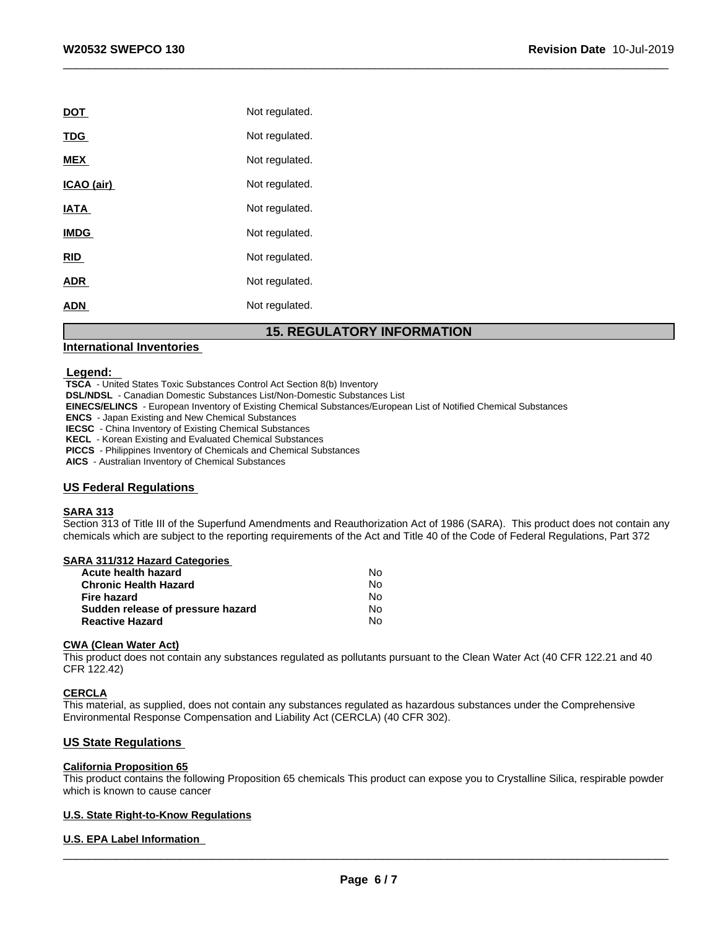| <b>DOT</b>  | Not regulated. |
|-------------|----------------|
| <b>TDG</b>  | Not regulated. |
| <b>MEX</b>  | Not regulated. |
| ICAO (air)  | Not regulated. |
| <b>IATA</b> | Not regulated. |
| <b>IMDG</b> | Not regulated. |
| <b>RID</b>  | Not regulated. |
| <b>ADR</b>  | Not regulated. |
| <b>ADN</b>  | Not regulated. |
|             |                |

### **15. REGULATORY INFORMATION**

### **International Inventories**

#### **Legend:**

 **TSCA** - United States Toxic Substances Control Act Section 8(b) Inventory

 **DSL/NDSL** - Canadian Domestic Substances List/Non-Domestic Substances List

 **EINECS/ELINCS** - European Inventory of Existing Chemical Substances/European List of Notified Chemical Substances

 **ENCS** - Japan Existing and New Chemical Substances

 **IECSC** - China Inventory of Existing Chemical Substances

 **KECL** - Korean Existing and Evaluated Chemical Substances

 **PICCS** - Philippines Inventory of Chemicals and Chemical Substances

 **AICS** - Australian Inventory of Chemical Substances

### **US Federal Regulations**

#### **SARA 313**

Section 313 of Title III of the Superfund Amendments and Reauthorization Act of 1986 (SARA). This product does not contain any chemicals which are subject to the reporting requirements of the Act and Title 40 of the Code of Federal Regulations, Part 372

### **SARA 311/312 Hazard Categories**

| No |
|----|
| N٥ |
| N٥ |
| N٥ |
| N٥ |
|    |

#### **CWA** (Clean Water Act)

This product does not contain any substances regulated as pollutants pursuant to the Clean Water Act (40 CFR 122.21 and 40 CFR 122.42)

#### **CERCLA**

This material, as supplied, does not contain any substances regulated as hazardous substances under the Comprehensive Environmental Response Compensation and Liability Act (CERCLA) (40 CFR 302).

### **US State Regulations**

### **California Proposition 65**

This product contains the following Proposition 65 chemicals This product can expose you to Crystalline Silica, respirable powder which is known to cause cancer

### **U.S. State Right-to-Know Regulations**

### **U.S. EPA Label Information**